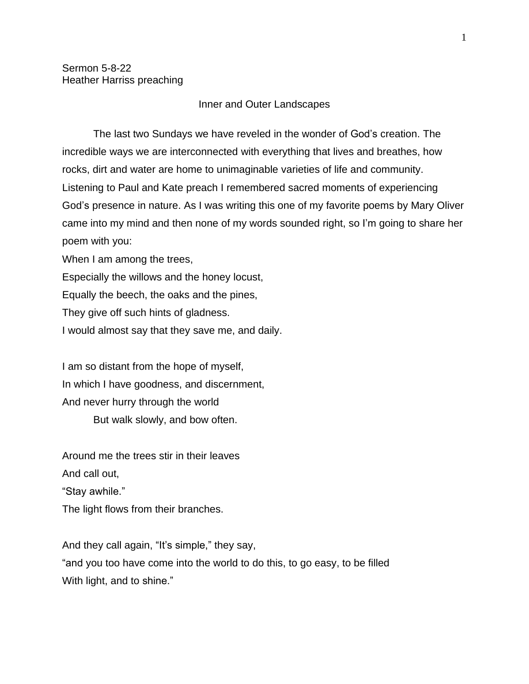## Inner and Outer Landscapes

The last two Sundays we have reveled in the wonder of God's creation. The incredible ways we are interconnected with everything that lives and breathes, how rocks, dirt and water are home to unimaginable varieties of life and community. Listening to Paul and Kate preach I remembered sacred moments of experiencing God's presence in nature. As I was writing this one of my favorite poems by Mary Oliver came into my mind and then none of my words sounded right, so I'm going to share her poem with you:

When I am among the trees,

Especially the willows and the honey locust,

Equally the beech, the oaks and the pines,

They give off such hints of gladness.

I would almost say that they save me, and daily.

I am so distant from the hope of myself, In which I have goodness, and discernment, And never hurry through the world

But walk slowly, and bow often.

Around me the trees stir in their leaves And call out,

"Stay awhile."

The light flows from their branches.

And they call again, "It's simple," they say, "and you too have come into the world to do this, to go easy, to be filled With light, and to shine."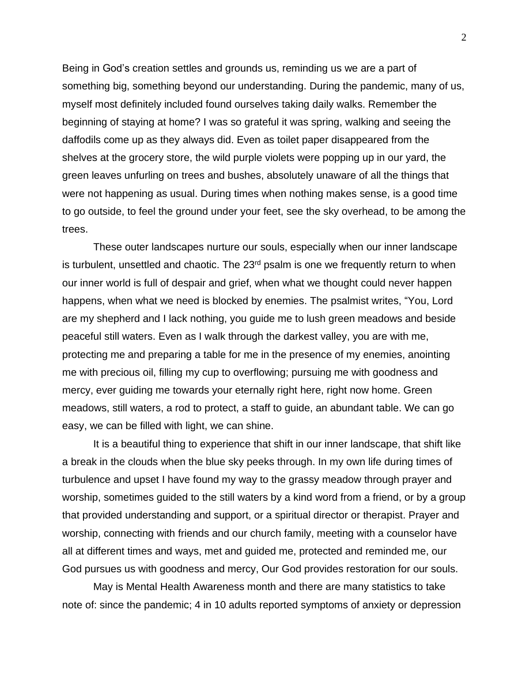Being in God's creation settles and grounds us, reminding us we are a part of something big, something beyond our understanding. During the pandemic, many of us, myself most definitely included found ourselves taking daily walks. Remember the beginning of staying at home? I was so grateful it was spring, walking and seeing the daffodils come up as they always did. Even as toilet paper disappeared from the shelves at the grocery store, the wild purple violets were popping up in our yard, the green leaves unfurling on trees and bushes, absolutely unaware of all the things that were not happening as usual. During times when nothing makes sense, is a good time to go outside, to feel the ground under your feet, see the sky overhead, to be among the trees.

These outer landscapes nurture our souls, especially when our inner landscape is turbulent, unsettled and chaotic. The  $23<sup>rd</sup>$  psalm is one we frequently return to when our inner world is full of despair and grief, when what we thought could never happen happens, when what we need is blocked by enemies. The psalmist writes, "You, Lord are my shepherd and I lack nothing, you guide me to lush green meadows and beside peaceful still waters. Even as I walk through the darkest valley, you are with me, protecting me and preparing a table for me in the presence of my enemies, anointing me with precious oil, filling my cup to overflowing; pursuing me with goodness and mercy, ever guiding me towards your eternally right here, right now home. Green meadows, still waters, a rod to protect, a staff to guide, an abundant table. We can go easy, we can be filled with light, we can shine.

It is a beautiful thing to experience that shift in our inner landscape, that shift like a break in the clouds when the blue sky peeks through. In my own life during times of turbulence and upset I have found my way to the grassy meadow through prayer and worship, sometimes guided to the still waters by a kind word from a friend, or by a group that provided understanding and support, or a spiritual director or therapist. Prayer and worship, connecting with friends and our church family, meeting with a counselor have all at different times and ways, met and guided me, protected and reminded me, our God pursues us with goodness and mercy, Our God provides restoration for our souls.

May is Mental Health Awareness month and there are many statistics to take note of: since the pandemic; 4 in 10 adults reported symptoms of anxiety or depression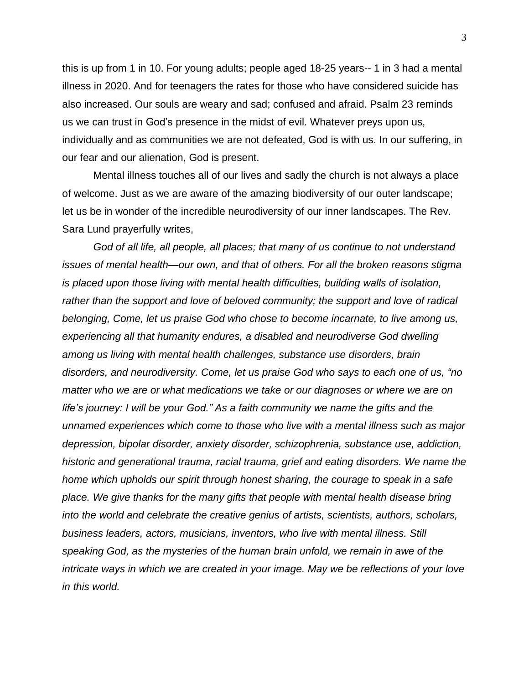this is up from 1 in 10. For young adults; people aged 18-25 years-- 1 in 3 had a mental illness in 2020. And for teenagers the rates for those who have considered suicide has also increased. Our souls are weary and sad; confused and afraid. Psalm 23 reminds us we can trust in God's presence in the midst of evil. Whatever preys upon us, individually and as communities we are not defeated, God is with us. In our suffering, in our fear and our alienation, God is present.

Mental illness touches all of our lives and sadly the church is not always a place of welcome. Just as we are aware of the amazing biodiversity of our outer landscape; let us be in wonder of the incredible neurodiversity of our inner landscapes. The Rev. Sara Lund prayerfully writes,

*God of all life, all people, all places; that many of us continue to not understand issues of mental health—our own, and that of others. For all the broken reasons stigma is placed upon those living with mental health difficulties, building walls of isolation, rather than the support and love of beloved community; the support and love of radical belonging, Come, let us praise God who chose to become incarnate, to live among us, experiencing all that humanity endures, a disabled and neurodiverse God dwelling among us living with mental health challenges, substance use disorders, brain disorders, and neurodiversity. Come, let us praise God who says to each one of us, "no matter who we are or what medications we take or our diagnoses or where we are on life's journey: I will be your God." As a faith community we name the gifts and the unnamed experiences which come to those who live with a mental illness such as major depression, bipolar disorder, anxiety disorder, schizophrenia, substance use, addiction, historic and generational trauma, racial trauma, grief and eating disorders. We name the home which upholds our spirit through honest sharing, the courage to speak in a safe place. We give thanks for the many gifts that people with mental health disease bring into the world and celebrate the creative genius of artists, scientists, authors, scholars, business leaders, actors, musicians, inventors, who live with mental illness. Still speaking God, as the mysteries of the human brain unfold, we remain in awe of the intricate ways in which we are created in your image. May we be reflections of your love in this world.*